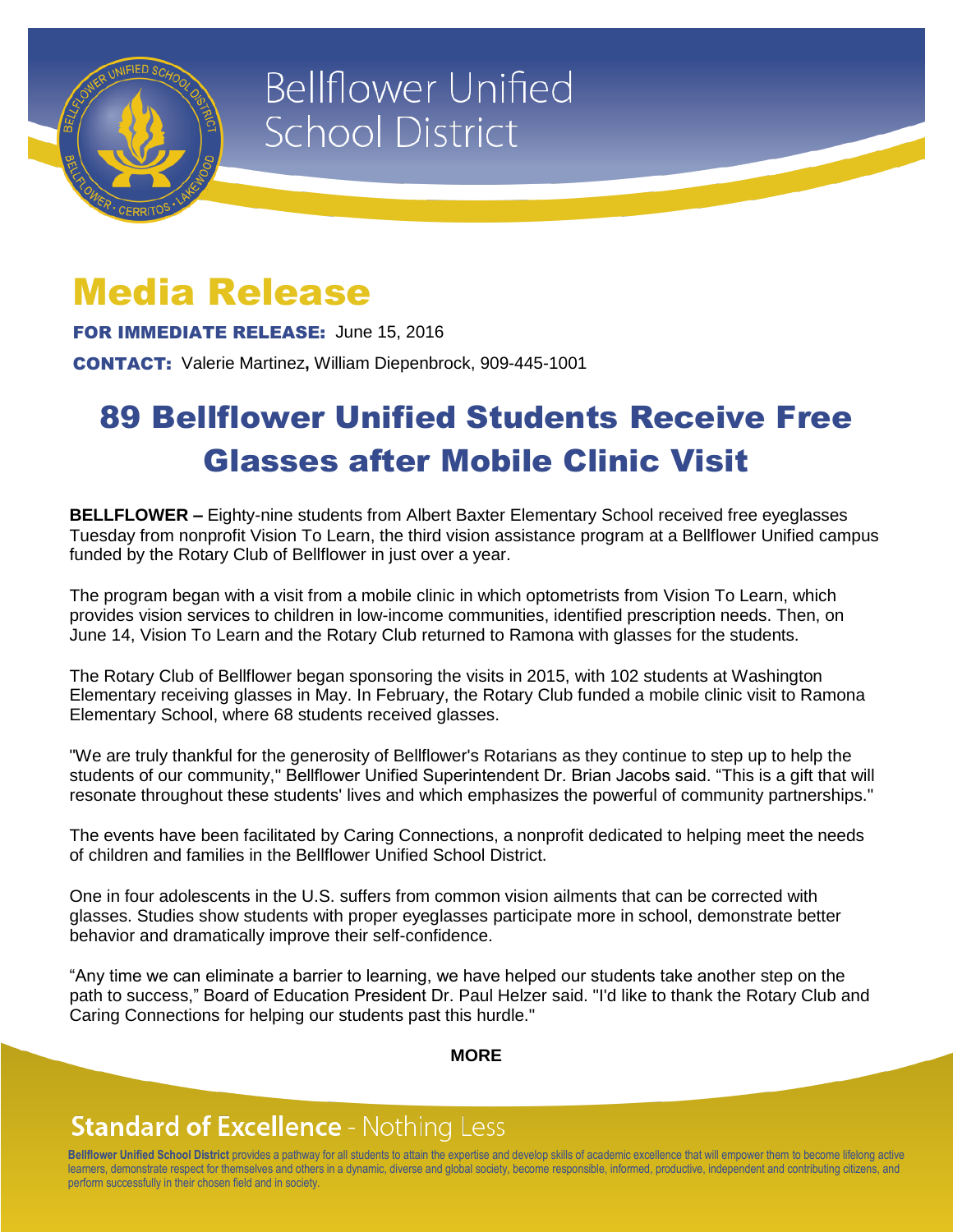

# **Bellflower Unified School District**

## Media Release

FOR IMMEDIATE RELEASE: June 15, 2016

CONTACT: Valerie Martinez**,** William Diepenbrock, 909-445-1001

## 89 Bellflower Unified Students Receive Free Glasses after Mobile Clinic Visit

**BELLFLOWER –** Eighty-nine students from Albert Baxter Elementary School received free eyeglasses Tuesday from nonprofit Vision To Learn, the third vision assistance program at a Bellflower Unified campus funded by the Rotary Club of Bellflower in just over a year.

The program began with a visit from a mobile clinic in which optometrists from Vision To Learn, which provides vision services to children in low-income communities, identified prescription needs. Then, on June 14, Vision To Learn and the Rotary Club returned to Ramona with glasses for the students.

The Rotary Club of Bellflower began sponsoring the visits in 2015, with 102 students at Washington Elementary receiving glasses in May. In February, the Rotary Club funded a mobile clinic visit to Ramona Elementary School, where 68 students received glasses.

"We are truly thankful for the generosity of Bellflower's Rotarians as they continue to step up to help the students of our community," Bellflower Unified Superintendent Dr. Brian Jacobs said. "This is a gift that will resonate throughout these students' lives and which emphasizes the powerful of community partnerships."

The events have been facilitated by Caring Connections, a nonprofit dedicated to helping meet the needs of children and families in the Bellflower Unified School District.

One in four adolescents in the U.S. suffers from common vision ailments that can be corrected with glasses. Studies show students with proper eyeglasses participate more in school, demonstrate better behavior and dramatically improve their self-confidence.

"Any time we can eliminate a barrier to learning, we have helped our students take another step on the path to success," Board of Education President Dr. Paul Helzer said. "I'd like to thank the Rotary Club and Caring Connections for helping our students past this hurdle."

#### **MORE**

### **Standard of Excellence - Nothing Less**

**Bellflower Unified School District** provides a pathway for all students to attain the expertise and develop skills of academic excellence that will empower them to become lifelong active learners, demonstrate respect for themselves and others in a dynamic, diverse and global society, become responsible, informed, productive, independent and contributing citizens, and perform successfully in their chosen field and in society.